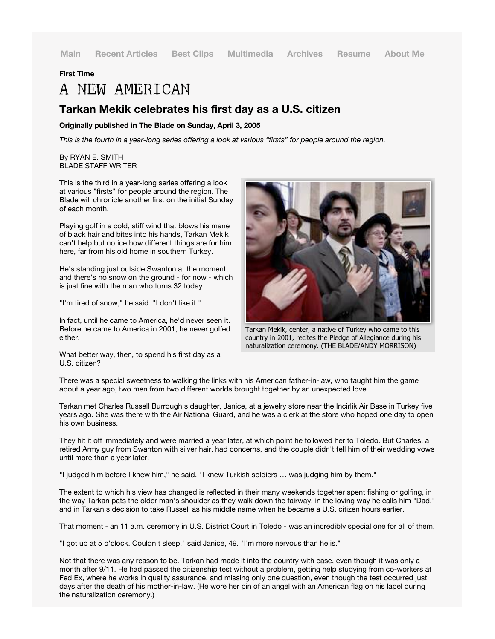## **First Time**

# A NEW AMERICAN

# **Tarkan Mekik celebrates his first day as a U.S. citizen**

#### **Originally published in The Blade on Sunday, April 3, 2005**

*This is the fourth in a year-long series offering a look at various "firsts" for people around the region.*

## By RYAN E. SMITH BLADE STAFF WRITER

This is the third in a year-long series offering a look at various "firsts" for people around the region. The Blade will chronicle another first on the initial Sunday of each month.

Playing golf in a cold, stiff wind that blows his mane of black hair and bites into his hands, Tarkan Mekik can't help but notice how different things are for him here, far from his old home in southern Turkey.

He's standing just outside Swanton at the moment, and there's no snow on the ground - for now - which is just fine with the man who turns 32 today.

"I'm tired of snow," he said. "I don't like it."

In fact, until he came to America, he'd never seen it. Before he came to America in 2001, he never golfed either.

What better way, then, to spend his first day as a U.S. citizen?



Tarkan Mekik, center, a native of Turkey who came to this country in 2001, recites the Pledge of Allegiance during his naturalization ceremony. (THE BLADE/ANDY MORRISON)

There was a special sweetness to walking the links with his American father-in-law, who taught him the game about a year ago, two men from two different worlds brought together by an unexpected love.

Tarkan met Charles Russell Burrough's daughter, Janice, at a jewelry store near the Incirlik Air Base in Turkey five years ago. She was there with the Air National Guard, and he was a clerk at the store who hoped one day to open his own business.

They hit it off immediately and were married a year later, at which point he followed her to Toledo. But Charles, a retired Army guy from Swanton with silver hair, had concerns, and the couple didn't tell him of their wedding vows until more than a year later.

"I judged him before I knew him," he said. "I knew Turkish soldiers … was judging him by them."

The extent to which his view has changed is reflected in their many weekends together spent fishing or golfing, in the way Tarkan pats the older man's shoulder as they walk down the fairway, in the loving way he calls him "Dad," and in Tarkan's decision to take Russell as his middle name when he became a U.S. citizen hours earlier.

That moment - an 11 a.m. ceremony in U.S. District Court in Toledo - was an incredibly special one for all of them.

"I got up at 5 o'clock. Couldn't sleep," said Janice, 49. "I'm more nervous than he is."

Not that there was any reason to be. Tarkan had made it into the country with ease, even though it was only a month after 9/11. He had passed the citizenship test without a problem, getting help studying from co-workers at Fed Ex, where he works in quality assurance, and missing only one question, even though the test occurred just days after the death of his mother-in-law. (He wore her pin of an angel with an American flag on his lapel during the naturalization ceremony.)